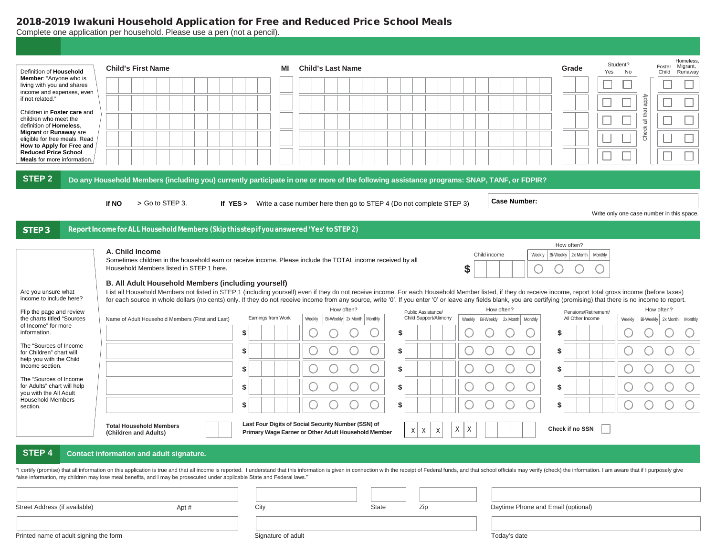## 2018-2019 Iwakuni Household Application for Free and Reduced Price School Meals

Complete one application per household. Please use a pen (not a pencil).

| Definition of Household<br>Member: "Anyone who is<br>living with you and shares<br>income and expenses, even<br>if not related."                                                                                                      | <b>Child's First Name</b>                                                                                                                                                                                                                                                                                                                                                                                                                   | ΜI                       | <b>Child's Last Name</b>                                                                                   |          |                                 |                                | Grade                                         | Homeless<br>Student?<br>Foster<br>Migrant,<br>Yes<br>No<br>Child<br>Runaway |  |
|---------------------------------------------------------------------------------------------------------------------------------------------------------------------------------------------------------------------------------------|---------------------------------------------------------------------------------------------------------------------------------------------------------------------------------------------------------------------------------------------------------------------------------------------------------------------------------------------------------------------------------------------------------------------------------------------|--------------------------|------------------------------------------------------------------------------------------------------------|----------|---------------------------------|--------------------------------|-----------------------------------------------|-----------------------------------------------------------------------------|--|
| Children in Foster care and<br>children who meet the<br>definition of Homeless.<br>Migrant or Runaway are<br>eligible for free meals. Read<br>How to Apply for Free and<br><b>Reduced Price School</b><br>Meals for more information. |                                                                                                                                                                                                                                                                                                                                                                                                                                             |                          |                                                                                                            |          |                                 |                                |                                               | all that apply<br>Check                                                     |  |
| <b>STEP 2</b>                                                                                                                                                                                                                         | Do any Household Members (including you) currently participate in one or more of the following assistance programs: SNAP, TANF, or FDPIR?                                                                                                                                                                                                                                                                                                   |                          |                                                                                                            |          |                                 |                                |                                               |                                                                             |  |
|                                                                                                                                                                                                                                       | If NO<br>> Go to STEP 3.                                                                                                                                                                                                                                                                                                                                                                                                                    | If $YES >$               | Write a case number here then go to STEP 4 (Do not complete STEP 3)                                        |          |                                 | <b>Case Number:</b>            |                                               | Write only one case number in this space.                                   |  |
| <b>STEP3</b>                                                                                                                                                                                                                          | Report Income for ALL Household Members (Skip this step if you answered 'Yes' to STEP 2)                                                                                                                                                                                                                                                                                                                                                    |                          |                                                                                                            |          |                                 |                                |                                               |                                                                             |  |
|                                                                                                                                                                                                                                       | A. Child Income<br>Sometimes children in the household earn or receive income. Please include the TOTAL income received by all<br>Household Members listed in STEP 1 here.<br>B. All Adult Household Members (including yourself)                                                                                                                                                                                                           |                          |                                                                                                            |          | \$                              | Weekly<br>Child income         | How often?<br>Bi-Weekly   2x Month<br>Monthly |                                                                             |  |
| Are you unsure what<br>income to include here?<br>Flip the page and review                                                                                                                                                            | List all Household Members not listed in STEP 1 (including yourself) even if they do not receive income. For each Household Member listed, if they do receive income, report total gross income (before taxes)<br>for each source in whole dollars (no cents) only. If they do not receive income from any source, write '0'. If you enter '0' or leave any fields blank, you are certifying (promising) that there is no income to report. |                          | How often?                                                                                                 |          | Public Assistance/              | How often?                     | Pensions/Retirement/                          | How often?                                                                  |  |
| the charts titled "Sources<br>of Income" for more<br>information.                                                                                                                                                                     | Name of Adult Household Members (First and Last)                                                                                                                                                                                                                                                                                                                                                                                            | Earnings from Work<br>\$ | Bi-Weekly 2x Month   Monthly<br>Weekly                                                                     | \$       | Child Support/Alimony<br>Weekly | Bi-Weekly   2x Month   Monthly | All Other Income<br>\$                        | Bi-Weekly 2x Month Monthly<br>Weekly                                        |  |
| The "Sources of Income<br>for Children" chart will<br>help you with the Child                                                                                                                                                         |                                                                                                                                                                                                                                                                                                                                                                                                                                             | \$                       |                                                                                                            | \$       |                                 |                                | \$                                            |                                                                             |  |
| Income section.<br>The "Sources of Income                                                                                                                                                                                             |                                                                                                                                                                                                                                                                                                                                                                                                                                             | \$                       |                                                                                                            | \$       |                                 | C                              | \$                                            |                                                                             |  |
| for Adults" chart will help<br>you with the All Adult<br><b>Household Members</b><br>section.                                                                                                                                         |                                                                                                                                                                                                                                                                                                                                                                                                                                             | \$<br>\$                 |                                                                                                            | \$<br>\$ |                                 | $\subset$                      | \$<br>\$                                      |                                                                             |  |
|                                                                                                                                                                                                                                       | <b>Total Household Members</b><br>(Children and Adults)                                                                                                                                                                                                                                                                                                                                                                                     |                          | Last Four Digits of Social Security Number (SSN) of<br>Primary Wage Earner or Other Adult Household Member | X        | X<br>Χ<br>X<br>Χ                |                                | Check if no SSN                               |                                                                             |  |
| STEP <sub>4</sub>                                                                                                                                                                                                                     | <b>Contact information and adult signature.</b><br>"I certify (promise) that all information on this application is true and that all income is reported. I understand that this information is given in connection with the receipt of Federal funds, and that school officials<br>false information, my children may lose meal benefits, and I may be prosecuted under applicable State and Federal laws."                                |                          |                                                                                                            |          |                                 |                                |                                               |                                                                             |  |
| Street Address (if available)                                                                                                                                                                                                         | Apt #                                                                                                                                                                                                                                                                                                                                                                                                                                       | City                     |                                                                                                            | State    | Zip                             |                                | Daytime Phone and Email (optional)            |                                                                             |  |
| Printed name of adult signing the form                                                                                                                                                                                                |                                                                                                                                                                                                                                                                                                                                                                                                                                             | Signature of adult       |                                                                                                            |          |                                 | Today's date                   |                                               |                                                                             |  |